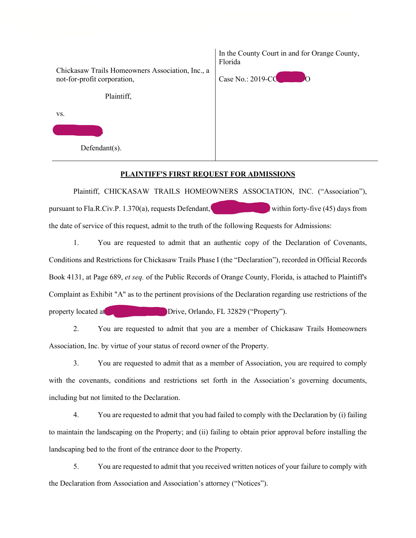|                                                                                 | In the County Court in and for Orange County,<br>Florida |
|---------------------------------------------------------------------------------|----------------------------------------------------------|
| Chickasaw Trails Homeowners Association, Inc., a<br>not-for-profit corporation, | Case No.: 2019-CO                                        |
| Plaintiff,                                                                      |                                                          |
| VS.                                                                             |                                                          |
|                                                                                 |                                                          |
| $Defendant(s)$ .                                                                |                                                          |

## **PLAINTIFF'S FIRST REQUEST FOR ADMISSIONS**

Plaintiff, CHICKASAW TRAILS HOMEOWNERS ASSOCIATION, INC. ("Association"), pursuant to Fla.R.Civ.P. 1.370(a), requests Defendant, within forty-five (45) days from the date of service of this request, admit to the truth of the following Requests for Admissions:

1. You are requested to admit that an authentic copy of the Declaration of Covenants, Conditions and Restrictions for Chickasaw Trails Phase I (the "Declaration"), recorded in Official Records Book 4131, at Page 689, *et seq.* of the Public Records of Orange County, Florida, is attached to Plaintiff's Complaint as Exhibit "A" as to the pertinent provisions of the Declaration regarding use restrictions of the property located at 3720 Drive, Orlando, FL 32829 ("Property").

2. You are requested to admit that you are a member of Chickasaw Trails Homeowners Association, Inc. by virtue of your status of record owner of the Property.

3. You are requested to admit that as a member of Association, you are required to comply with the covenants, conditions and restrictions set forth in the Association's governing documents, including but not limited to the Declaration.

4. You are requested to admit that you had failed to comply with the Declaration by (i) failing to maintain the landscaping on the Property; and (ii) failing to obtain prior approval before installing the landscaping bed to the front of the entrance door to the Property.

5. You are requested to admit that you received written notices of your failure to comply with the Declaration from Association and Association's attorney ("Notices").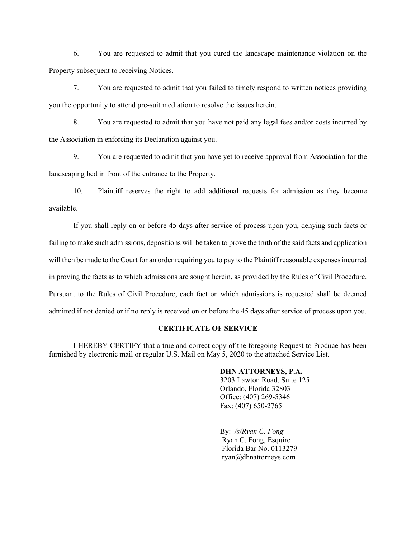6. You are requested to admit that you cured the landscape maintenance violation on the Property subsequent to receiving Notices.

7. You are requested to admit that you failed to timely respond to written notices providing you the opportunity to attend pre-suit mediation to resolve the issues herein.

8. You are requested to admit that you have not paid any legal fees and/or costs incurred by the Association in enforcing its Declaration against you.

9. You are requested to admit that you have yet to receive approval from Association for the landscaping bed in front of the entrance to the Property.

10. Plaintiff reserves the right to add additional requests for admission as they become available.

If you shall reply on or before 45 days after service of process upon you, denying such facts or failing to make such admissions, depositions will be taken to prove the truth of the said facts and application will then be made to the Court for an order requiring you to pay to the Plaintiff reasonable expenses incurred in proving the facts as to which admissions are sought herein, as provided by the Rules of Civil Procedure. Pursuant to the Rules of Civil Procedure, each fact on which admissions is requested shall be deemed admitted if not denied or if no reply is received on or before the 45 days after service of process upon you.

## **CERTIFICATE OF SERVICE**

I HEREBY CERTIFY that a true and correct copy of the foregoing Request to Produce has been furnished by electronic mail or regular U.S. Mail on May 5, 2020 to the attached Service List.

## **DHN ATTORNEYS, P.A.**

3203 Lawton Road, Suite 125 Orlando, Florida 32803 Office: (407) 269-5346 Fax: (407) 650-2765

By: /s/Ryan C. Fong

Ryan C. Fong, Esquire Florida Bar No. 0113279 ryan@dhnattorneys.com